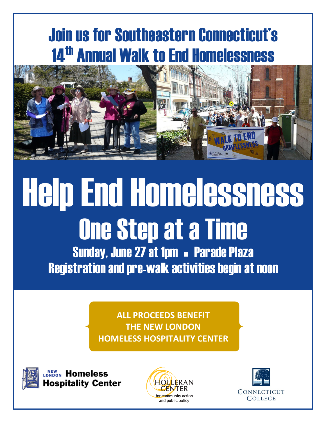## Join us for Southeastern Connecticut's **14<sup>th</sup> Annual Walk to End Homelessness**



# Help End Homelessness One Step at a Time Sunday, June 27 at 1pm - Parade Plaza Registration and pre-walk activities begin at noon

**ALL PROCEEDS BENEFIT THE NEW LONDON HOMELESS HOSPITALITY CENTER**